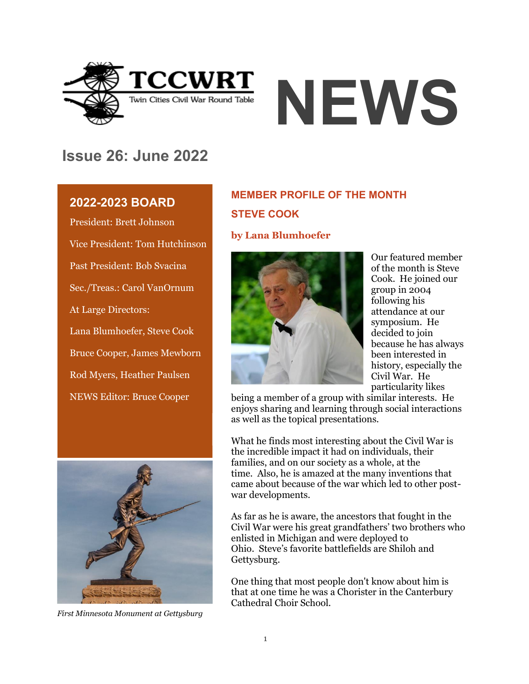



## **Issue 26: June 2022**

## **2022-2023 BOARD**

President: Brett Johnson Vice President: Tom Hutchinson Past President: Bob Svacina Sec./Treas.: Carol VanOrnum At Large Directors: Lana Blumhoefer, Steve Cook Bruce Cooper, James Mewborn Rod Myers, Heather Paulsen NEWS Editor: Bruce Cooper



*First Minnesota Monument at Gettysburg*

## **MEMBER PROFILE OF THE MONTH STEVE COOK**

#### **by Lana Blumhoefer**



Our featured member of the month is Steve Cook. He joined our group in 2004 following his attendance at our symposium. He decided to join because he has always been interested in history, especially the Civil War. He particularity likes

being a member of a group with similar interests. He enjoys sharing and learning through social interactions as well as the topical presentations.

What he finds most interesting about the Civil War is the incredible impact it had on individuals, their families, and on our society as a whole, at the time. Also, he is amazed at the many inventions that came about because of the war which led to other postwar developments.

As far as he is aware, the ancestors that fought in the Civil War were his great grandfathers' two brothers who enlisted in Michigan and were deployed to Ohio. Steve's favorite battlefields are Shiloh and Gettysburg.

One thing that most people don't know about him is that at one time he was a Chorister in the Canterbury Cathedral Choir School.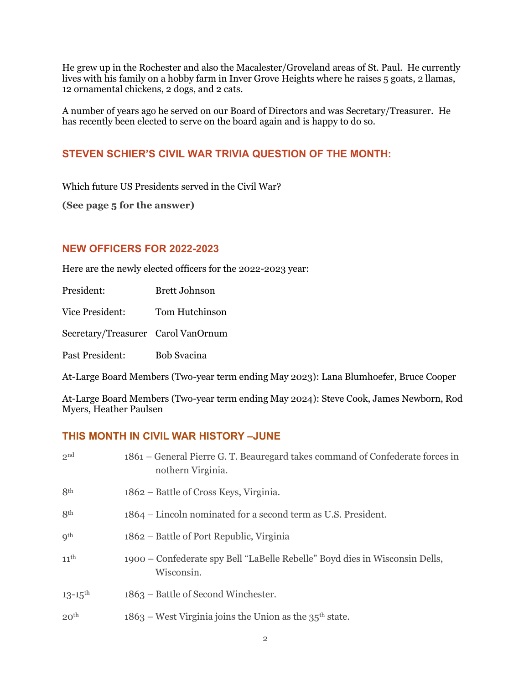He grew up in the Rochester and also the Macalester/Groveland areas of St. Paul. He currently lives with his family on a hobby farm in Inver Grove Heights where he raises 5 goats, 2 llamas, 12 ornamental chickens, 2 dogs, and 2 cats.

A number of years ago he served on our Board of Directors and was Secretary/Treasurer. He has recently been elected to serve on the board again and is happy to do so.

### **STEVEN SCHIER'S CIVIL WAR TRIVIA QUESTION OF THE MONTH:**

Which future US Presidents served in the Civil War?

**(See page 5 for the answer)**

#### **NEW OFFICERS FOR 2022-2023**

Here are the newly elected officers for the 2022-2023 year:

President: Brett Johnson

Vice President: Tom Hutchinson

Secretary/Treasurer Carol VanOrnum

Past President: Bob Svacina

At-Large Board Members (Two-year term ending May 2023): Lana Blumhoefer, Bruce Cooper

At-Large Board Members (Two-year term ending May 2024): Steve Cook, James Newborn, Rod Myers, Heather Paulsen

### **THIS MONTH IN CIVIL WAR HISTORY –JUNE**

| 2 <sup>nd</sup>         | 1861 – General Pierre G. T. Beauregard takes command of Confederate forces in<br>nothern Virginia. |
|-------------------------|----------------------------------------------------------------------------------------------------|
| 8 <sup>th</sup>         | 1862 – Battle of Cross Keys, Virginia.                                                             |
| 8 <sup>th</sup>         | 1864 – Lincoln nominated for a second term as U.S. President.                                      |
| q <sup>th</sup>         | 1862 – Battle of Port Republic, Virginia                                                           |
| $11$ <sup>th</sup>      | 1900 – Confederate spy Bell "LaBelle Rebelle" Boyd dies in Wisconsin Dells,<br>Wisconsin.          |
| $13 - 15$ <sup>th</sup> | 1863 – Battle of Second Winchester.                                                                |
| 20 <sup>th</sup>        | $1863$ – West Virginia joins the Union as the $35th$ state.                                        |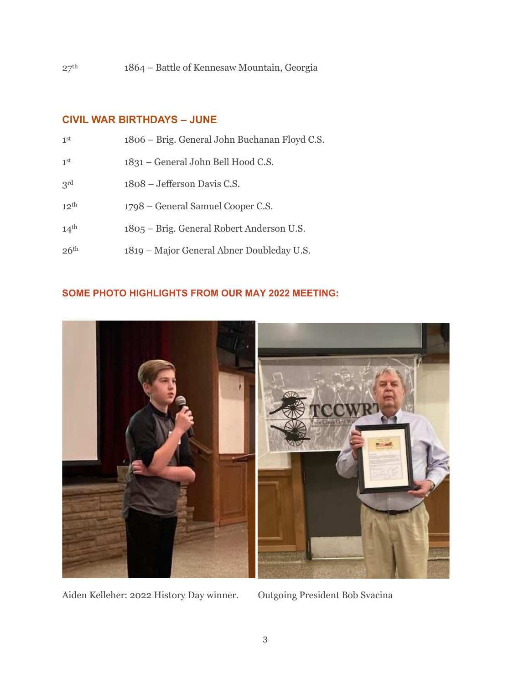### **CIVIL WAR BIRTHDAYS – JUNE**

| 1 <sup>st</sup>  | 1806 – Brig. General John Buchanan Floyd C.S. |
|------------------|-----------------------------------------------|
| 1 <sup>st</sup>  | 1831 – General John Bell Hood C.S.            |
| 3 <sup>rd</sup>  | 1808 – Jefferson Davis C.S.                   |
| $12^{th}$        | 1798 – General Samuel Cooper C.S.             |
| 14 <sup>th</sup> | 1805 – Brig. General Robert Anderson U.S.     |
| 26 <sup>th</sup> | 1819 – Major General Abner Doubleday U.S.     |

#### **SOME PHOTO HIGHLIGHTS FROM OUR MAY 2022 MEETING:**



Aiden Kelleher: 2022 History Day winner. Outgoing President Bob Svacina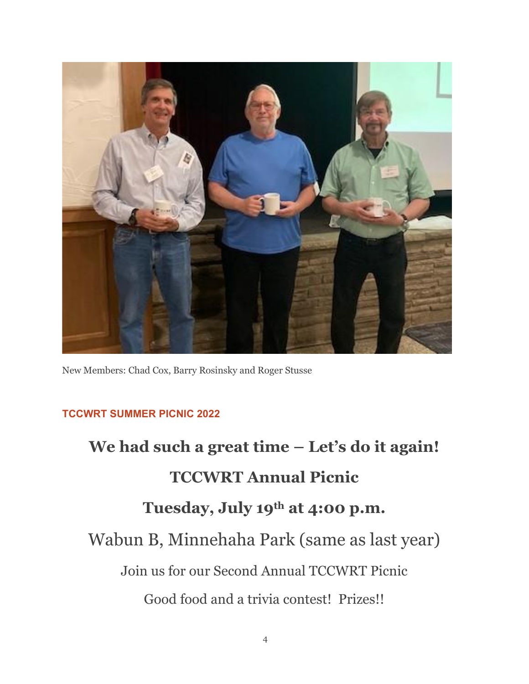

New Members: Chad Cox, Barry Rosinsky and Roger Stusse

## **TCCWRT SUMMER PICNIC 2022**

**We had such a great time – Let's do it again! TCCWRT Annual Picnic Tuesday, July 19th at 4:00 p.m.** Wabun B, Minnehaha Park (same as last year) Join us for our Second Annual TCCWRT Picnic Good food and a trivia contest! Prizes!!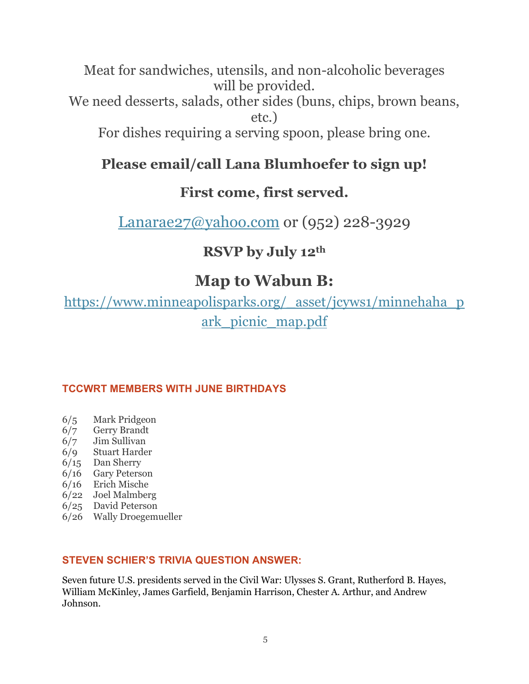Meat for sandwiches, utensils, and non-alcoholic beverages will be provided. We need desserts, salads, other sides (buns, chips, brown beans,

etc.)

For dishes requiring a serving spoon, please bring one.

## **Please email/call Lana Blumhoefer to sign up!**

## **First come, first served.**

[Lanarae27@yahoo.com](mailto:Lanarae27@yahoo.com) or (952) 228-3929

## **RSVP by July 12th**

# **Map to Wabun B:**

[https://www.minneapolisparks.org/\\_asset/jcyws1/minnehaha\\_p](https://www.minneapolisparks.org/_asset/jcyws1/minnehaha_park_picnic_map.pdf) [ark\\_picnic\\_map.pdf](https://www.minneapolisparks.org/_asset/jcyws1/minnehaha_park_picnic_map.pdf)

## **TCCWRT MEMBERS WITH JUNE BIRTHDAYS**

- 6/5 Mark Pridgeon
- 6/7 Gerry Brandt
- 6/7 Jim Sullivan
- 6/9 Stuart Harder
- 6/15 Dan Sherry
- 6/16 Gary Peterson
- 6/16 Erich Mische
- 6/22 Joel Malmberg
- 6/25 David Peterson
- 6/26 Wally Droegemueller

### **STEVEN SCHIER'S TRIVIA QUESTION ANSWER:**

Seven future [U.S. presidents](https://nam12.safelinks.protection.outlook.com/?url=https%3A%2F%2Fwww.factretriever.com%2Fus-presidents-facts&data=04%7C01%7C%7C4886fa7e64e04741dff408da1059c06b%7C84df9e7fe9f640afb435aaaaaaaaaaaa%7C1%7C0%7C637840274939870547%7CUnknown%7CTWFpbGZsb3d8eyJWIjoiMC4wLjAwMDAiLCJQIjoiV2luMzIiLCJBTiI6Ik1haWwiLCJXVCI6Mn0%3D%7C3000&sdata=XXum3Iovy7Lk3LY3%2FfZQWFrHuGkUz%2BAZgYQN7M3LsAc%3D&reserved=0) served in the Civil War: Ulysses S. Grant, Rutherford B. Hayes, William McKinley, James Garfield, Benjamin Harrison, Chester A. Arthur, and Andrew Johnson.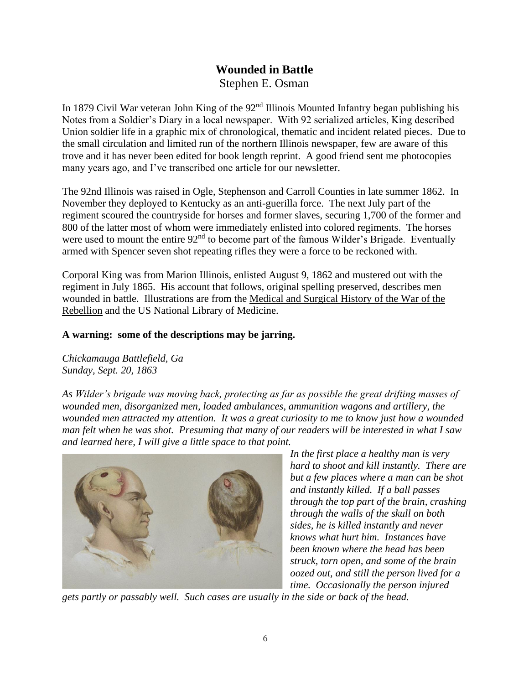## **Wounded in Battle** Stephen E. Osman

In 1879 Civil War veteran John King of the 92<sup>nd</sup> Illinois Mounted Infantry began publishing his Notes from a Soldier's Diary in a local newspaper. With 92 serialized articles, King described Union soldier life in a graphic mix of chronological, thematic and incident related pieces. Due to the small circulation and limited run of the northern Illinois newspaper, few are aware of this trove and it has never been edited for book length reprint. A good friend sent me photocopies many years ago, and I've transcribed one article for our newsletter.

The 92nd Illinois was raised in Ogle, Stephenson and Carroll Counties in late summer 1862. In November they deployed to Kentucky as an anti-guerilla force. The next July part of the regiment scoured the countryside for horses and former slaves, securing 1,700 of the former and 800 of the latter most of whom were immediately enlisted into colored regiments. The horses were used to mount the entire 92<sup>nd</sup> to become part of the famous Wilder's Brigade. Eventually armed with Spencer seven shot repeating rifles they were a force to be reckoned with.

Corporal King was from Marion Illinois, enlisted August 9, 1862 and mustered out with the regiment in July 1865. His account that follows, original spelling preserved, describes men wounded in battle. Illustrations are from the Medical and Surgical History of the War of the Rebellion and the US National Library of Medicine.

#### **A warning: some of the descriptions may be jarring.**

*Chickamauga Battlefield, Ga Sunday, Sept. 20, 1863*

*As Wilder's brigade was moving back, protecting as far as possible the great drifting masses of wounded men, disorganized men, loaded ambulances, ammunition wagons and artillery, the wounded men attracted my attention. It was a great curiosity to me to know just how a wounded man felt when he was shot. Presuming that many of our readers will be interested in what I saw and learned here, I will give a little space to that point.*



*In the first place a healthy man is very hard to shoot and kill instantly. There are but a few places where a man can be shot and instantly killed. If a ball passes through the top part of the brain, crashing through the walls of the skull on both sides, he is killed instantly and never knows what hurt him. Instances have been known where the head has been struck, torn open, and some of the brain oozed out, and still the person lived for a time. Occasionally the person injured* 

*gets partly or passably well. Such cases are usually in the side or back of the head.*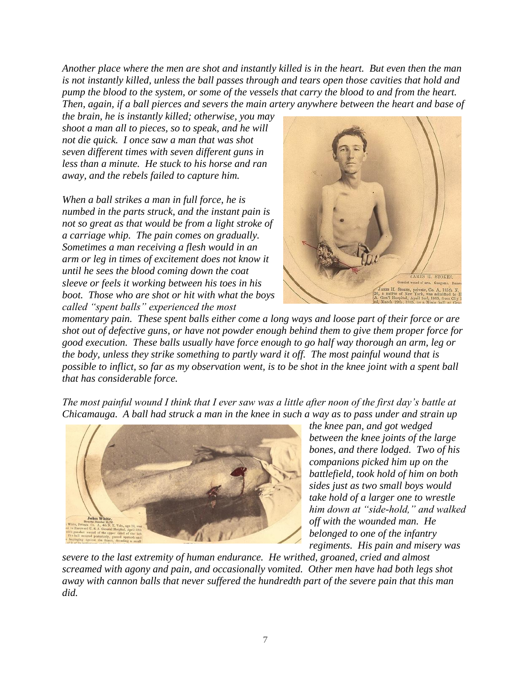*Another place where the men are shot and instantly killed is in the heart. But even then the man is not instantly killed, unless the ball passes through and tears open those cavities that hold and pump the blood to the system, or some of the vessels that carry the blood to and from the heart. Then, again, if a ball pierces and severs the main artery anywhere between the heart and base of* 

*the brain, he is instantly killed; otherwise, you may shoot a man all to pieces, so to speak, and he will not die quick. I once saw a man that was shot seven different times with seven different guns in less than a minute. He stuck to his horse and ran away, and the rebels failed to capture him.*

*When a ball strikes a man in full force, he is numbed in the parts struck, and the instant pain is not so great as that would be from a light stroke of a carriage whip. The pain comes on gradually. Sometimes a man receiving a flesh would in an arm or leg in times of excitement does not know it until he sees the blood coming down the coat sleeve or feels it working between his toes in his boot. Those who are shot or hit with what the boys called "spent balls" experienced the most* 



*momentary pain. These spent balls either come a long ways and loose part of their force or are shot out of defective guns, or have not powder enough behind them to give them proper force for good execution. These balls usually have force enough to go half way thorough an arm, leg or the body, unless they strike something to partly ward it off. The most painful wound that is possible to inflict, so far as my observation went, is to be shot in the knee joint with a spent ball that has considerable force.*

*The most painful wound I think that I ever saw was a little after noon of the first day's battle at Chicamauga. A ball had struck a man in the knee in such a way as to pass under and strain up* 



*the knee pan, and got wedged between the knee joints of the large bones, and there lodged. Two of his companions picked him up on the battlefield, took hold of him on both sides just as two small boys would take hold of a larger one to wrestle him down at "side-hold," and walked off with the wounded man. He belonged to one of the infantry regiments. His pain and misery was* 

*severe to the last extremity of human endurance. He writhed, groaned, cried and almost screamed with agony and pain, and occasionally vomited. Other men have had both legs shot away with cannon balls that never suffered the hundredth part of the severe pain that this man did.*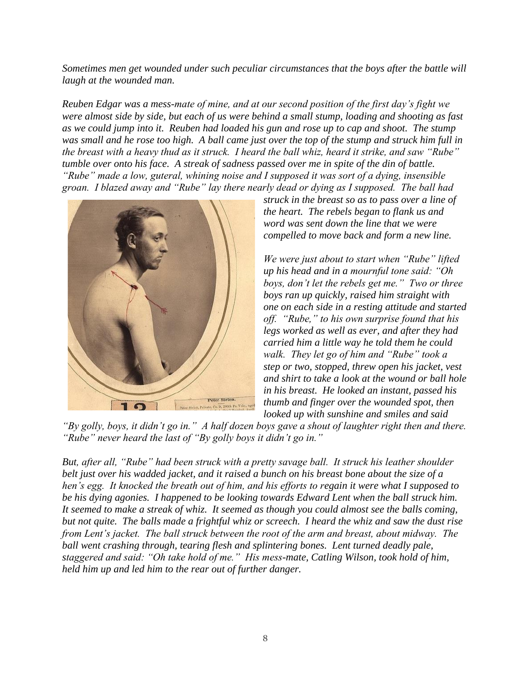*Sometimes men get wounded under such peculiar circumstances that the boys after the battle will laugh at the wounded man.*

*Reuben Edgar was a mess-mate of mine, and at our second position of the first day's fight we were almost side by side, but each of us were behind a small stump, loading and shooting as fast as we could jump into it. Reuben had loaded his gun and rose up to cap and shoot. The stump was small and he rose too high. A ball came just over the top of the stump and struck him full in the breast with a heavy thud as it struck. I heard the ball whiz, heard it strike, and saw "Rube" tumble over onto his face. A streak of sadness passed over me in spite of the din of battle. "Rube" made a low, guteral, whining noise and I supposed it was sort of a dying, insensible groan. I blazed away and "Rube" lay there nearly dead or dying as I supposed. The ball had* 



*struck in the breast so as to pass over a line of the heart. The rebels began to flank us and word was sent down the line that we were compelled to move back and form a new line.* 

*We were just about to start when "Rube" lifted up his head and in a mournful tone said: "Oh boys, don't let the rebels get me." Two or three boys ran up quickly, raised him straight with one on each side in a resting attitude and started off. "Rube," to his own surprise found that his legs worked as well as ever, and after they had carried him a little way he told them he could walk. They let go of him and "Rube" took a step or two, stopped, threw open his jacket, vest and shirt to take a look at the wound or ball hole in his breast. He looked an instant, passed his thumb and finger over the wounded spot, then looked up with sunshine and smiles and said* 

*"By golly, boys, it didn't go in." A half dozen boys gave a shout of laughter right then and there. "Rube" never heard the last of "By golly boys it didn't go in."*

*But, after all, "Rube" had been struck with a pretty savage ball. It struck his leather shoulder belt just over his wadded jacket, and it raised a bunch on his breast bone about the size of a hen's egg. It knocked the breath out of him, and his efforts to regain it were what I supposed to be his dying agonies. I happened to be looking towards Edward Lent when the ball struck him. It seemed to make a streak of whiz. It seemed as though you could almost see the balls coming, but not quite. The balls made a frightful whiz or screech. I heard the whiz and saw the dust rise from Lent's jacket. The ball struck between the root of the arm and breast, about midway. The ball went crashing through, tearing flesh and splintering bones. Lent turned deadly pale, staggered and said: "Oh take hold of me." His mess-mate, Catling Wilson, took hold of him, held him up and led him to the rear out of further danger.*